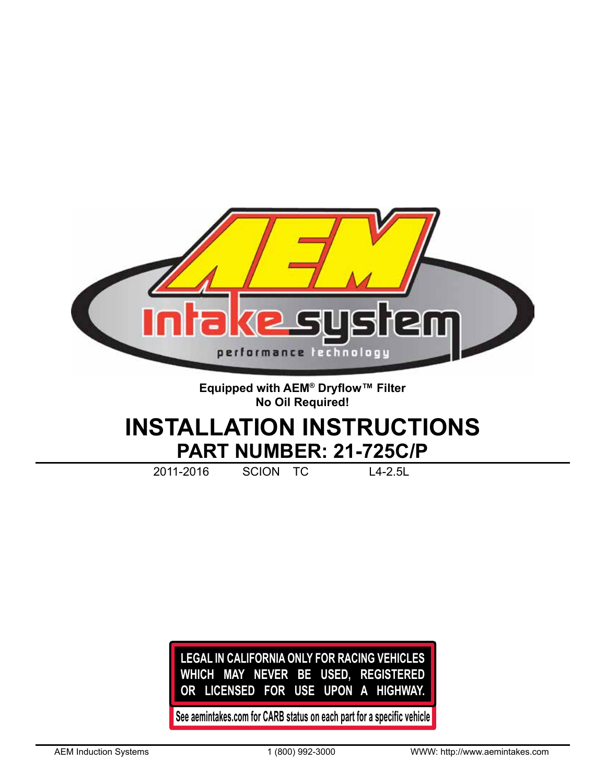

**Equipped with AEM® Dryflow™ Filter No Oil Required!**

# **INSTALLATION INSTRUCTIONS PART NUMBER: 21-725C/P**

2011-2016 SCION TC L4-2.5L

## **LEGAL IN CALIFORNIA ONLY FOR RACING VEHICLES WHICH MAY NEVER BE USED, REGISTERED OR LICENSED FOR USE UPON A HIGHWAY.**

**See aemintakes.com for CARB status on each part for a specific vehicle**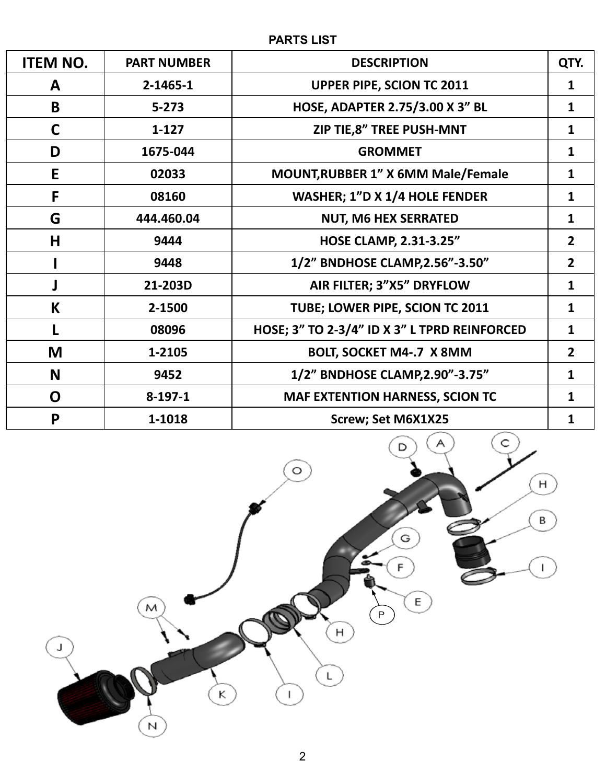**PARTS LIST**

| <b>ITEM NO.</b> | <b>PART NUMBER</b> | <b>DESCRIPTION</b>                           |                |
|-----------------|--------------------|----------------------------------------------|----------------|
| A               | $2 - 1465 - 1$     | <b>UPPER PIPE, SCION TC 2011</b>             |                |
| B               | $5 - 273$          | HOSE, ADAPTER 2.75/3.00 X 3" BL              |                |
| C               | $1-127$            | ZIP TIE,8" TREE PUSH-MNT                     |                |
| D               | 1675-044           | <b>GROMMET</b>                               |                |
| E               | 02033              | <b>MOUNT, RUBBER 1" X 6MM Male/Female</b>    | 1              |
| F               | 08160              | <b>WASHER; 1"D X 1/4 HOLE FENDER</b>         | 1              |
| G               | 444.460.04         | <b>NUT, M6 HEX SERRATED</b>                  | $\mathbf{1}$   |
| H               | 9444               | <b>HOSE CLAMP, 2.31-3.25"</b>                | $\overline{2}$ |
|                 | 9448               | 1/2" BNDHOSE CLAMP, 2.56"-3.50"              | $\overline{2}$ |
|                 | 21-203D            | AIR FILTER; 3"X5" DRYFLOW                    |                |
| K               | 2-1500             | TUBE; LOWER PIPE, SCION TC 2011              |                |
|                 | 08096              | HOSE; 3" TO 2-3/4" ID X 3" L TPRD REINFORCED | $\mathbf{1}$   |
| M               | 1-2105             | <b>BOLT, SOCKET M4-.7 X 8MM</b>              | $\overline{2}$ |
| N               | 9452               | 1/2" BNDHOSE CLAMP, 2.90"-3.75"              |                |
| O               | $8-197-1$          | <b>MAF EXTENTION HARNESS, SCION TC</b>       |                |
| P               | 1-1018             | Screw; Set M6X1X25                           |                |

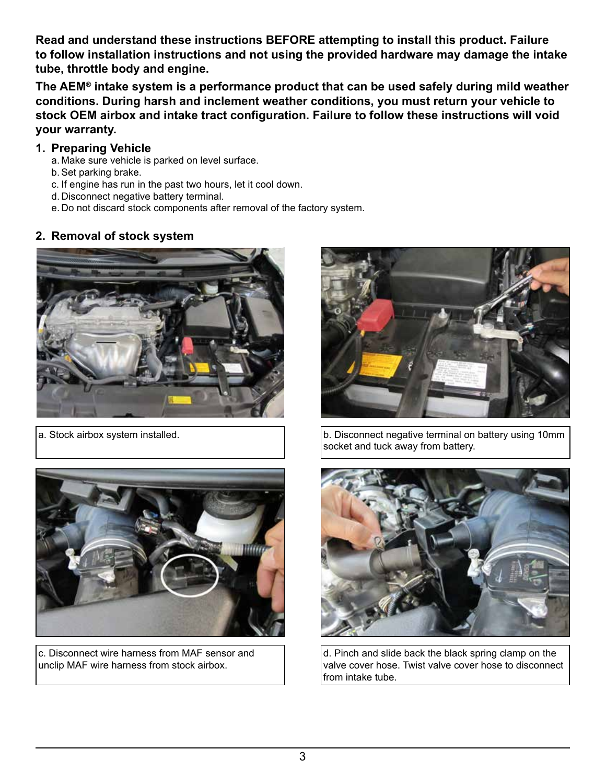**Read and understand these instructions BEFORE attempting to install this product. Failure to follow installation instructions and not using the provided hardware may damage the intake tube, throttle body and engine.**

**The AEM® intake system is a performance product that can be used safely during mild weather conditions. During harsh and inclement weather conditions, you must return your vehicle to stock OEM airbox and intake tract configuration. Failure to follow these instructions will void your warranty.**

## **1. Preparing Vehicle**

- a. Make sure vehicle is parked on level surface.
- b.Set parking brake.
- c. If engine has run in the past two hours, let it cool down.
- d. Disconnect negative battery terminal.
- e. Do not discard stock components after removal of the factory system.

## **2. Removal of stock system**





a. Stock airbox system installed. b. Disconnect negative terminal on battery using 10mm socket and tuck away from battery.



c. Disconnect wire harness from MAF sensor and unclip MAF wire harness from stock airbox.



d. Pinch and slide back the black spring clamp on the valve cover hose. Twist valve cover hose to disconnect from intake tube.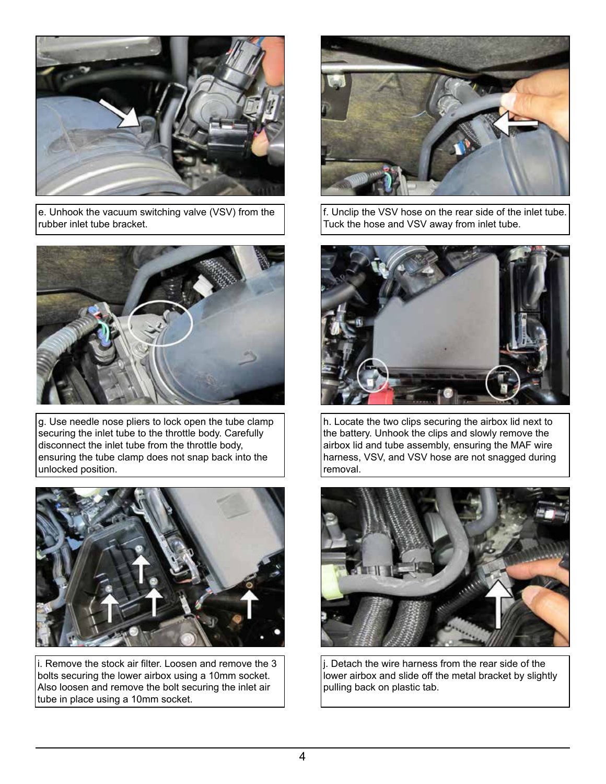

e. Unhook the vacuum switching valve (VSV) from the rubber inlet tube bracket.



g. Use needle nose pliers to lock open the tube clamp securing the inlet tube to the throttle body. Carefully disconnect the inlet tube from the throttle body, ensuring the tube clamp does not snap back into the unlocked position.



i. Remove the stock air filter. Loosen and remove the 3 bolts securing the lower airbox using a 10mm socket. Also loosen and remove the bolt securing the inlet air tube in place using a 10mm socket.



f. Unclip the VSV hose on the rear side of the inlet tube. Tuck the hose and VSV away from inlet tube.



h. Locate the two clips securing the airbox lid next to the battery. Unhook the clips and slowly remove the airbox lid and tube assembly, ensuring the MAF wire harness, VSV, and VSV hose are not snagged during removal.



j. Detach the wire harness from the rear side of the lower airbox and slide off the metal bracket by slightly pulling back on plastic tab.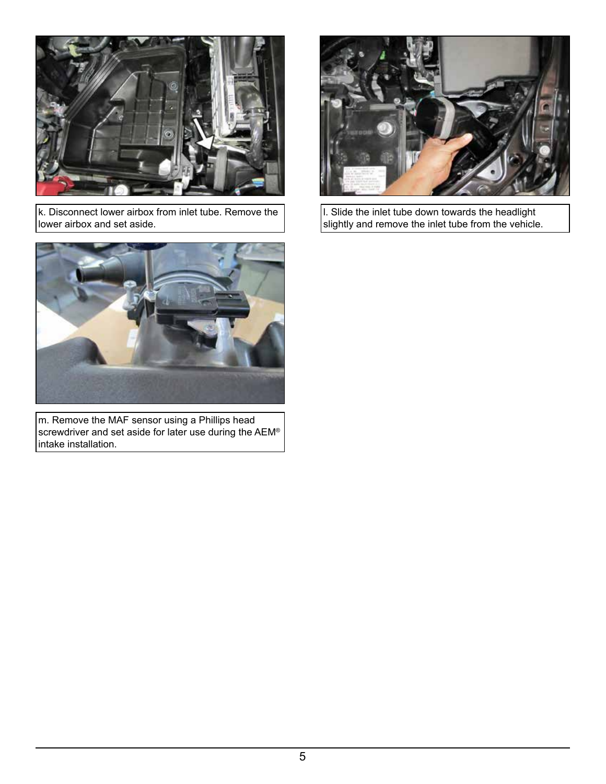

k. Disconnect lower airbox from inlet tube. Remove the lower airbox and set aside.



m. Remove the MAF sensor using a Phillips head screwdriver and set aside for later use during the AEM® intake installation.



l. Slide the inlet tube down towards the headlight slightly and remove the inlet tube from the vehicle.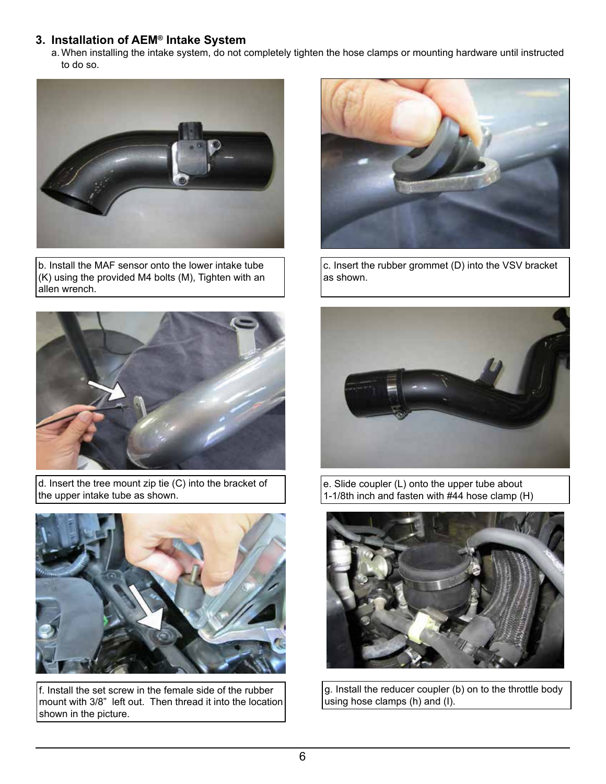## **3. Installation of AEM® Intake System**

a. When installing the intake system, do not completely tighten the hose clamps or mounting hardware until instructed to do so.



b. Install the MAF sensor onto the lower intake tube (K) using the provided M4 bolts (M), Tighten with an allen wrench.



d. Insert the tree mount zip tie (C) into the bracket of the upper intake tube as shown.



f. Install the set screw in the female side of the rubber mount with 3/8" left out. Then thread it into the location shown in the picture.



c. Insert the rubber grommet (D) into the VSV bracket as shown.



e. Slide coupler (L) onto the upper tube about 1-1/8th inch and fasten with #44 hose clamp (H)



g. Install the reducer coupler (b) on to the throttle body using hose clamps (h) and (I).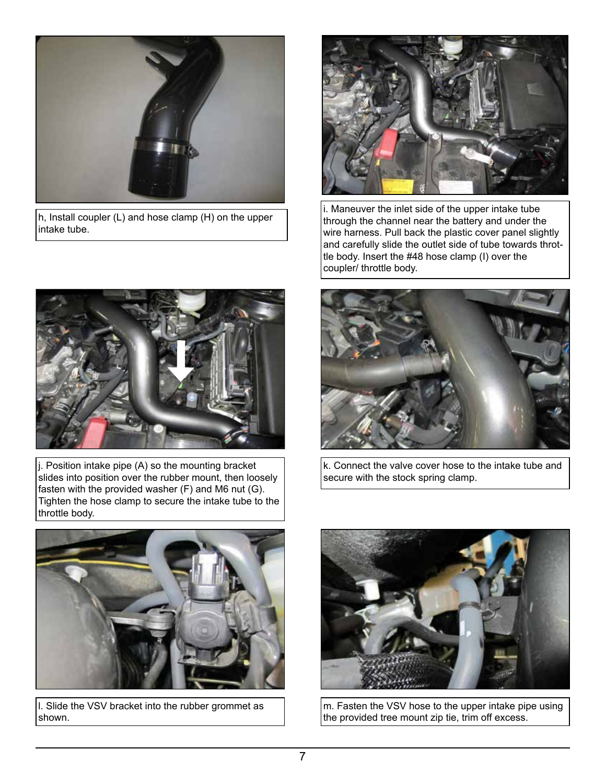

h, Install coupler (L) and hose clamp (H) on the upper intake tube.



j. Position intake pipe (A) so the mounting bracket slides into position over the rubber mount, then loosely fasten with the provided washer (F) and M6 nut (G). Tighten the hose clamp to secure the intake tube to the throttle body.



l. Slide the VSV bracket into the rubber grommet as shown.



i. Maneuver the inlet side of the upper intake tube through the channel near the battery and under the wire harness. Pull back the plastic cover panel slightly and carefully slide the outlet side of tube towards throttle body. Insert the #48 hose clamp (I) over the coupler/ throttle body.



k. Connect the valve cover hose to the intake tube and secure with the stock spring clamp.



m. Fasten the VSV hose to the upper intake pipe using the provided tree mount zip tie, trim off excess.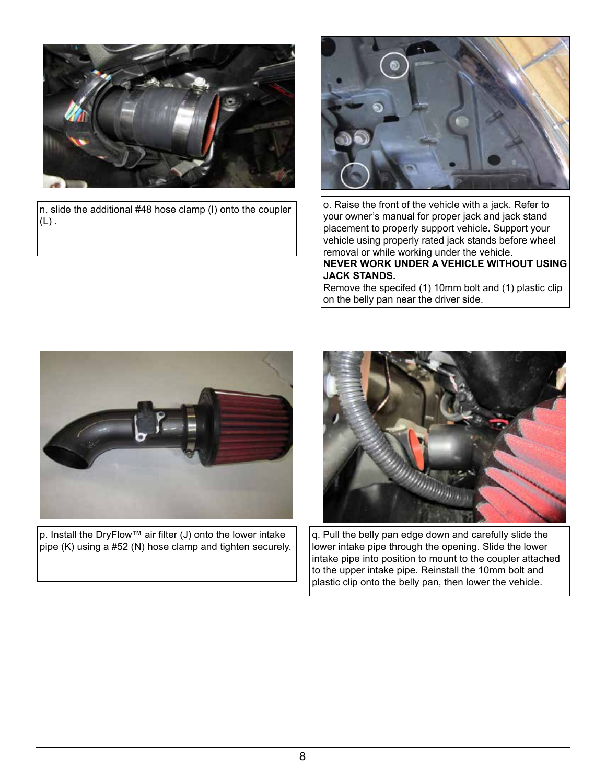

n. slide the additional #48 hose clamp (I) onto the coupler  $(L)$  .



o. Raise the front of the vehicle with a jack. Refer to your owner's manual for proper jack and jack stand placement to properly support vehicle. Support your vehicle using properly rated jack stands before wheel removal or while working under the vehicle. **NEVER WORK UNDER A VEHICLE WITHOUT USING JACK STANDS.**

Remove the specifed (1) 10mm bolt and (1) plastic clip on the belly pan near the driver side.



p. Install the DryFlow™ air filter (J) onto the lower intake pipe (K) using a #52 (N) hose clamp and tighten securely.



q. Pull the belly pan edge down and carefully slide the lower intake pipe through the opening. Slide the lower intake pipe into position to mount to the coupler attached to the upper intake pipe. Reinstall the 10mm bolt and plastic clip onto the belly pan, then lower the vehicle.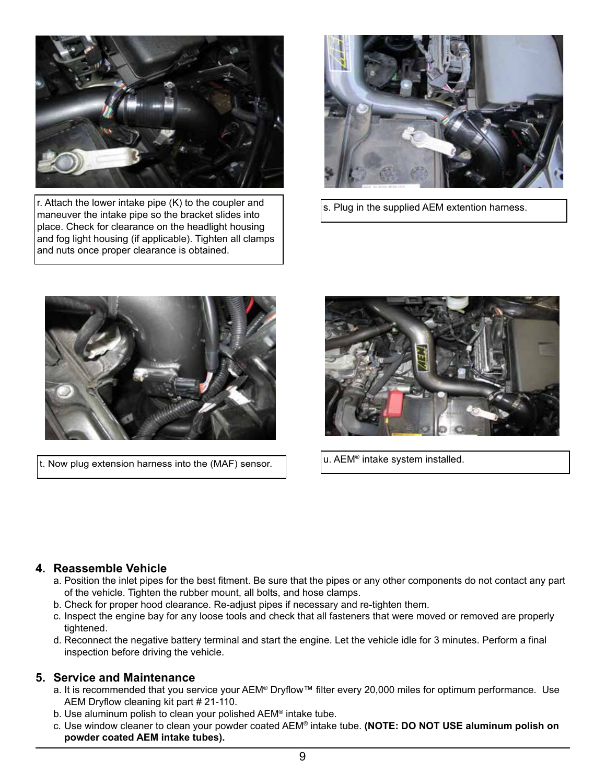

r. Attach the lower intake pipe (K) to the coupler and maneuver the intake pipe so the bracket slides into place. Check for clearance on the headlight housing and fog light housing (if applicable). Tighten all clamps and nuts once proper clearance is obtained.



s. Plug in the supplied AEM extention harness.



t. Now plug extension harness into the (MAF) sensor.



u. AEM® intake system installed.

### **4. Reassemble Vehicle**

- a. Position the inlet pipes for the best fitment. Be sure that the pipes or any other components do not contact any part of the vehicle. Tighten the rubber mount, all bolts, and hose clamps.
- b. Check for proper hood clearance. Re-adjust pipes if necessary and re-tighten them.
- c. Inspect the engine bay for any loose tools and check that all fasteners that were moved or removed are properly tightened.
- d. Reconnect the negative battery terminal and start the engine. Let the vehicle idle for 3 minutes. Perform a final inspection before driving the vehicle.

### **5. Service and Maintenance**

- a. It is recommended that you service your AEM® Dryflow™ filter every 20,000 miles for optimum performance. Use AEM Dryflow cleaning kit part # 21-110.
- b. Use aluminum polish to clean your polished AEM® intake tube.
- c. Use window cleaner to clean your powder coated AEM® intake tube. **(NOTE: DO NOT USE aluminum polish on powder coated AEM intake tubes).**